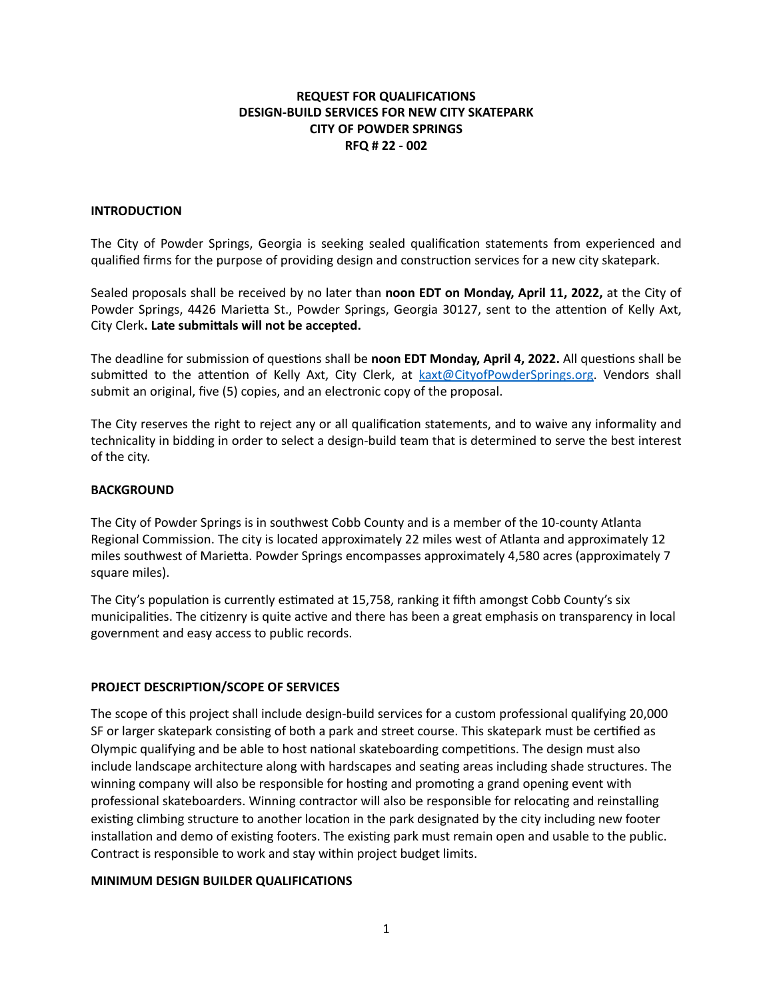## **REQUEST FOR QUALIFICATIONS DESIGN-BUILD SERVICES FOR NEW CITY SKATEPARK CITY OF POWDER SPRINGS RFQ # 22 - 002**

### **INTRODUCTION**

The City of Powder Springs, Georgia is seeking sealed qualification statements from experienced and qualified firms for the purpose of providing design and construction services for a new city skatepark.

Sealed proposals shall be received by no later than **noon EDT on Monday, April 11, 2022,** at the City of Powder Springs, 4426 Marietta St., Powder Springs, Georgia 30127, sent to the attention of Kelly Axt, City Clerk**. Late submittals will not be accepted.**

The deadline for submission of questions shall be **noon EDT Monday, April 4, 2022.** All questions shall be submitted to the attention of Kelly Axt, City Clerk, at [kaxt@CityofPowderSprings.org](mailto:kaxt@CityofPowderSprings.org). Vendors shall submit an original, five (5) copies, and an electronic copy of the proposal.

The City reserves the right to reject any or all qualification statements, and to waive any informality and technicality in bidding in order to select a design-build team that is determined to serve the best interest of the city.

### **BACKGROUND**

The City of Powder Springs is in southwest Cobb County and is a member of the 10-county Atlanta Regional Commission. The city is located approximately 22 miles west of Atlanta and approximately 12 miles southwest of Marietta. Powder Springs encompasses approximately 4,580 acres (approximately 7 square miles).

The City's population is currently estimated at 15,758, ranking it fifth amongst Cobb County's six municipalities. The citizenry is quite active and there has been a great emphasis on transparency in local government and easy access to public records.

## **PROJECT DESCRIPTION/SCOPE OF SERVICES**

The scope of this project shall include design-build services for a custom professional qualifying 20,000 SF or larger skatepark consisting of both a park and street course. This skatepark must be certified as Olympic qualifying and be able to host national skateboarding competitions. The design must also include landscape architecture along with hardscapes and seating areas including shade structures. The winning company will also be responsible for hosting and promoting a grand opening event with professional skateboarders. Winning contractor will also be responsible for relocating and reinstalling existing climbing structure to another location in the park designated by the city including new footer installation and demo of existing footers. The existing park must remain open and usable to the public. Contract is responsible to work and stay within project budget limits.

### **MINIMUM DESIGN BUILDER QUALIFICATIONS**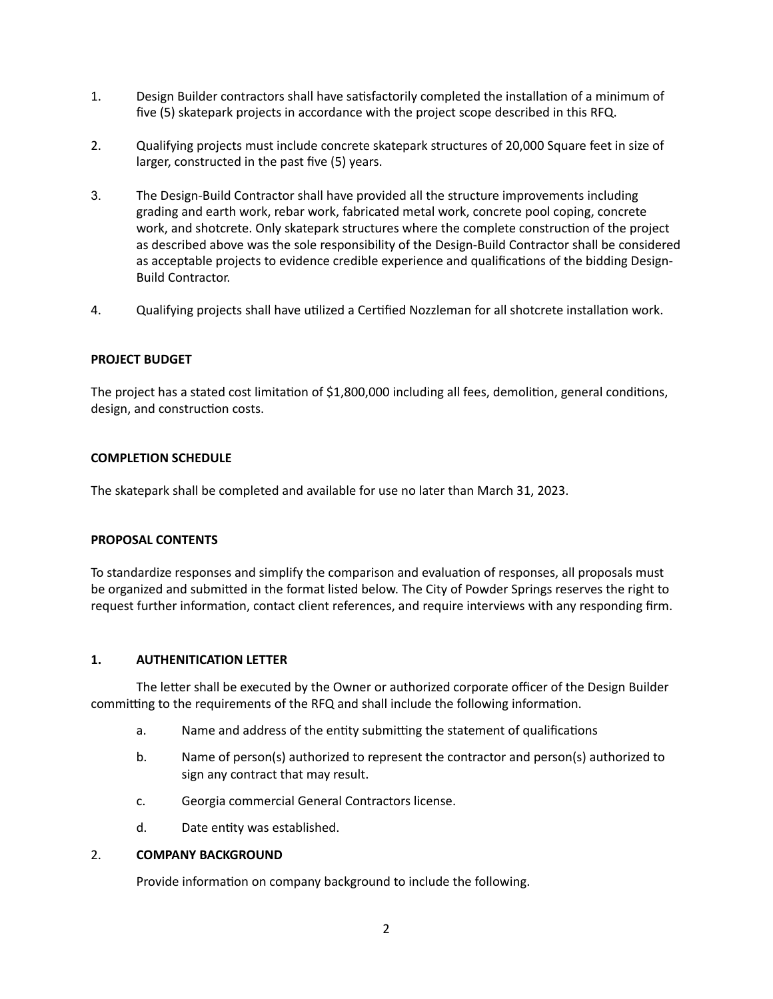- 1. Design Builder contractors shall have satisfactorily completed the installation of a minimum of five (5) skatepark projects in accordance with the project scope described in this RFQ.
- 2. Qualifying projects must include concrete skatepark structures of 20,000 Square feet in size of larger, constructed in the past five (5) years.
- 3. The Design-Build Contractor shall have provided all the structure improvements including grading and earth work, rebar work, fabricated metal work, concrete pool coping, concrete work, and shotcrete. Only skatepark structures where the complete construction of the project as described above was the sole responsibility of the Design-Build Contractor shall be considered as acceptable projects to evidence credible experience and qualifications of the bidding Design-Build Contractor.
- 4. Qualifying projects shall have utilized a Certified Nozzleman for all shotcrete installation work.

### **PROJECT BUDGET**

The project has a stated cost limitation of \$1,800,000 including all fees, demolition, general conditions, design, and construction costs.

### **COMPLETION SCHEDULE**

The skatepark shall be completed and available for use no later than March 31, 2023.

### **PROPOSAL CONTENTS**

To standardize responses and simplify the comparison and evaluation of responses, all proposals must be organized and submitted in the format listed below. The City of Powder Springs reserves the right to request further information, contact client references, and require interviews with any responding firm.

### **1. AUTHENITICATION LETTER**

The letter shall be executed by the Owner or authorized corporate officer of the Design Builder committing to the requirements of the RFQ and shall include the following information.

- a. Name and address of the entity submitting the statement of qualifications
- b. Name of person(s) authorized to represent the contractor and person(s) authorized to sign any contract that may result.
- c. Georgia commercial General Contractors license.
- d. Date entity was established.

### 2. **COMPANY BACKGROUND**

Provide information on company background to include the following.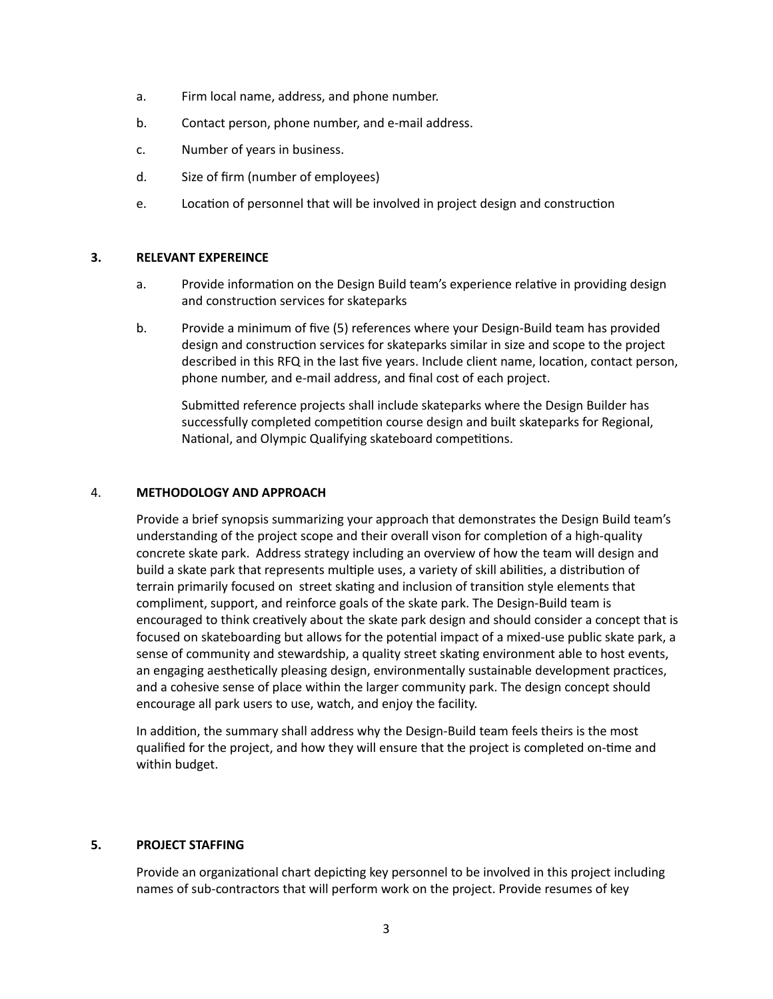- a. Firm local name, address, and phone number.
- b. Contact person, phone number, and e-mail address.
- c. Number of years in business.
- d. Size of firm (number of employees)
- e. Location of personnel that will be involved in project design and construction

### **3. RELEVANT EXPEREINCE**

- a. Provide information on the Design Build team's experience relative in providing design and construction services for skateparks
- b. Provide a minimum of five (5) references where your Design-Build team has provided design and construction services for skateparks similar in size and scope to the project described in this RFQ in the last five years. Include client name, location, contact person, phone number, and e-mail address, and final cost of each project.

Submitted reference projects shall include skateparks where the Design Builder has successfully completed competition course design and built skateparks for Regional, National, and Olympic Qualifying skateboard competitions.

### 4. **METHODOLOGY AND APPROACH**

Provide a brief synopsis summarizing your approach that demonstrates the Design Build team's understanding of the project scope and their overall vison for completion of a high-quality concrete skate park. Address strategy including an overview of how the team will design and build a skate park that represents multiple uses, a variety of skill abilities, a distribution of terrain primarily focused on street skating and inclusion of transition style elements that compliment, support, and reinforce goals of the skate park. The Design-Build team is encouraged to think creatively about the skate park design and should consider a concept that is focused on skateboarding but allows for the potential impact of a mixed-use public skate park, a sense of community and stewardship, a quality street skating environment able to host events, an engaging aesthetically pleasing design, environmentally sustainable development practices, and a cohesive sense of place within the larger community park. The design concept should encourage all park users to use, watch, and enjoy the facility.

In addition, the summary shall address why the Design-Build team feels theirs is the most qualified for the project, and how they will ensure that the project is completed on-time and within budget.

### **5. PROJECT STAFFING**

Provide an organizational chart depicting key personnel to be involved in this project including names of sub-contractors that will perform work on the project. Provide resumes of key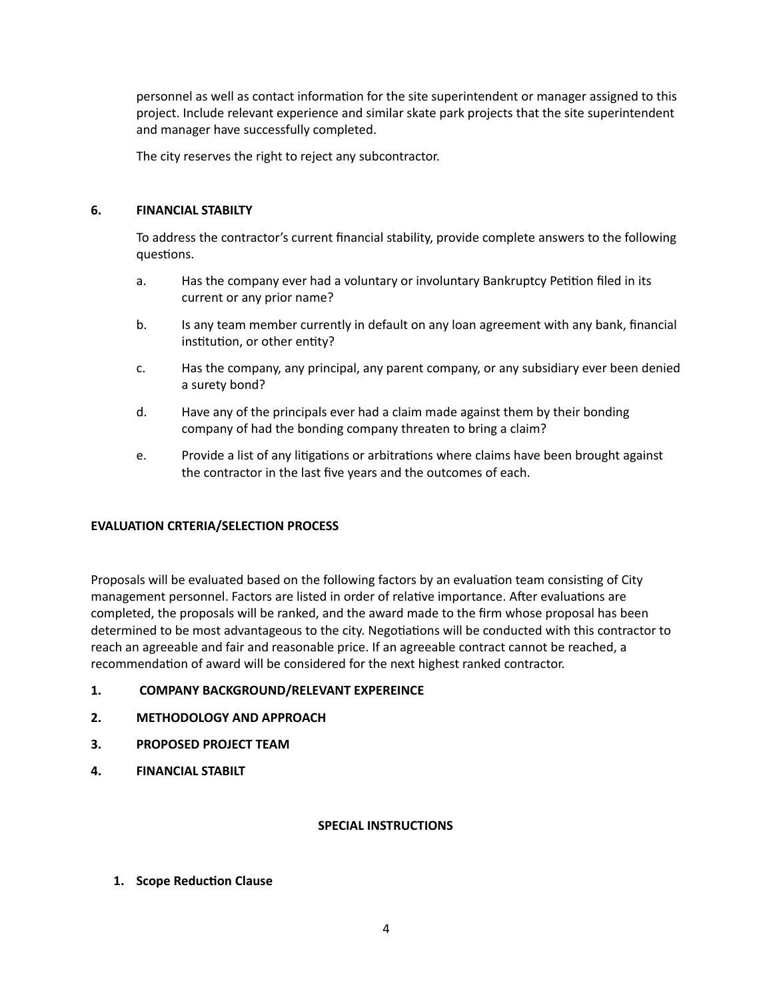personnel as well as contact information for the site superintendent or manager assigned to this project. Include relevant experience and similar skate park projects that the site superintendent and manager have successfully completed.

The city reserves the right to reject any subcontractor.

## **6. FINANCIAL STABILTY**

To address the contractor's current financial stability, provide complete answers to the following questions.

- a. Has the company ever had a voluntary or involuntary Bankruptcy Petition filed in its current or any prior name?
- b. Is any team member currently in default on any loan agreement with any bank, financial institution, or other entity?
- c. Has the company, any principal, any parent company, or any subsidiary ever been denied a surety bond?
- d. Have any of the principals ever had a claim made against them by their bonding company of had the bonding company threaten to bring a claim?
- e. Provide a list of any litigations or arbitrations where claims have been brought against the contractor in the last five years and the outcomes of each.

## **EVALUATION CRTERIA/SELECTION PROCESS**

Proposals will be evaluated based on the following factors by an evaluation team consisting of City management personnel. Factors are listed in order of relative importance. After evaluations are completed, the proposals will be ranked, and the award made to the firm whose proposal has been determined to be most advantageous to the city. Negotiations will be conducted with this contractor to reach an agreeable and fair and reasonable price. If an agreeable contract cannot be reached, a recommendation of award will be considered for the next highest ranked contractor.

- **1. COMPANY BACKGROUND/RELEVANT EXPEREINCE**
- **2. METHODOLOGY AND APPROACH**
- **3. PROPOSED PROJECT TEAM**
- **4. FINANCIAL STABILT**

## **SPECIAL INSTRUCTIONS**

**1. Scope Reduction Clause**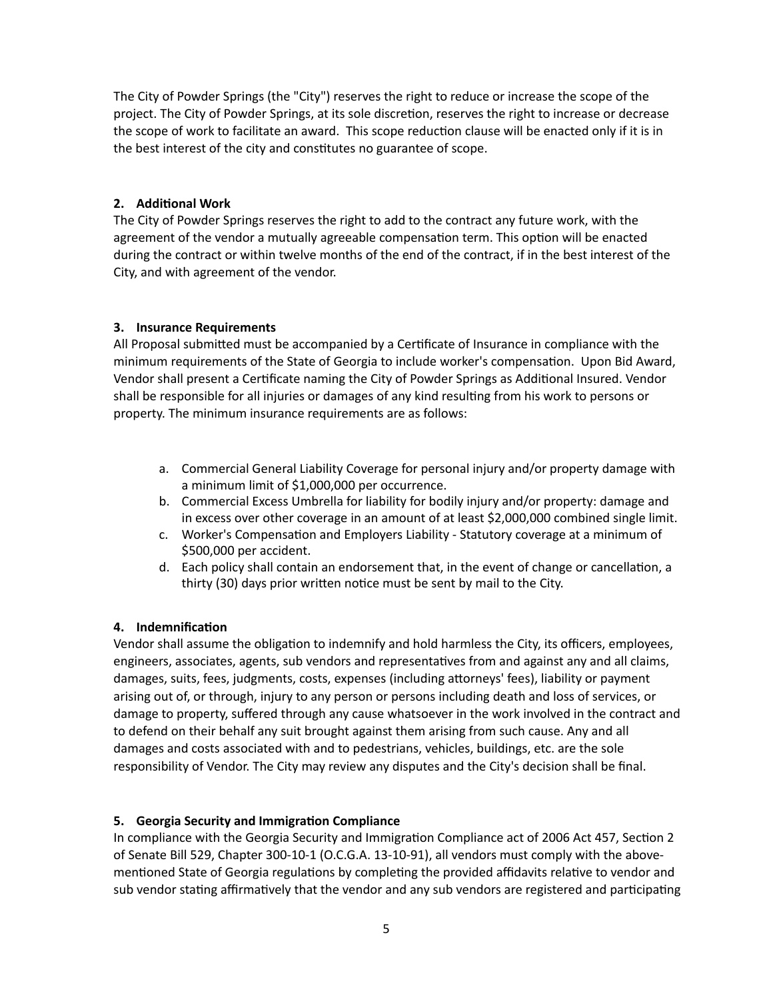The City of Powder Springs (the "City") reserves the right to reduce or increase the scope of the project. The City of Powder Springs, at its sole discretion, reserves the right to increase or decrease the scope of work to facilitate an award. This scope reduction clause will be enacted only if it is in the best interest of the city and constitutes no guarantee of scope.

## **2. Additional Work**

The City of Powder Springs reserves the right to add to the contract any future work, with the agreement of the vendor a mutually agreeable compensation term. This option will be enacted during the contract or within twelve months of the end of the contract, if in the best interest of the City, and with agreement of the vendor.

## **3. Insurance Requirements**

All Proposal submitted must be accompanied by a Certificate of Insurance in compliance with the minimum requirements of the State of Georgia to include worker's compensation. Upon Bid Award, Vendor shall present a Certificate naming the City of Powder Springs as Additional Insured. Vendor shall be responsible for all injuries or damages of any kind resulting from his work to persons or property. The minimum insurance requirements are as follows:

- a. Commercial General Liability Coverage for personal injury and/or property damage with a minimum limit of \$1,000,000 per occurrence.
- b. Commercial Excess Umbrella for liability for bodily injury and/or property: damage and in excess over other coverage in an amount of at least \$2,000,000 combined single limit.
- c. Worker's Compensation and Employers Liability Statutory coverage at a minimum of \$500,000 per accident.
- d. Each policy shall contain an endorsement that, in the event of change or cancellation, a thirty (30) days prior written notice must be sent by mail to the City.

## **4. Indemnification**

Vendor shall assume the obligation to indemnify and hold harmless the City, its officers, employees, engineers, associates, agents, sub vendors and representatives from and against any and all claims, damages, suits, fees, judgments, costs, expenses (including attorneys' fees), liability or payment arising out of, or through, injury to any person or persons including death and loss of services, or damage to property, suffered through any cause whatsoever in the work involved in the contract and to defend on their behalf any suit brought against them arising from such cause. Any and all damages and costs associated with and to pedestrians, vehicles, buildings, etc. are the sole responsibility of Vendor. The City may review any disputes and the City's decision shall be final.

## **5. Georgia Security and Immigration Compliance**

In compliance with the Georgia Security and Immigration Compliance act of 2006 Act 457, Section 2 of Senate Bill 529, Chapter 300-10-1 (O.C.G.A. 13-10-91), all vendors must comply with the abovementioned State of Georgia regulations by completing the provided affidavits relative to vendor and sub vendor stating affirmatively that the vendor and any sub vendors are registered and participating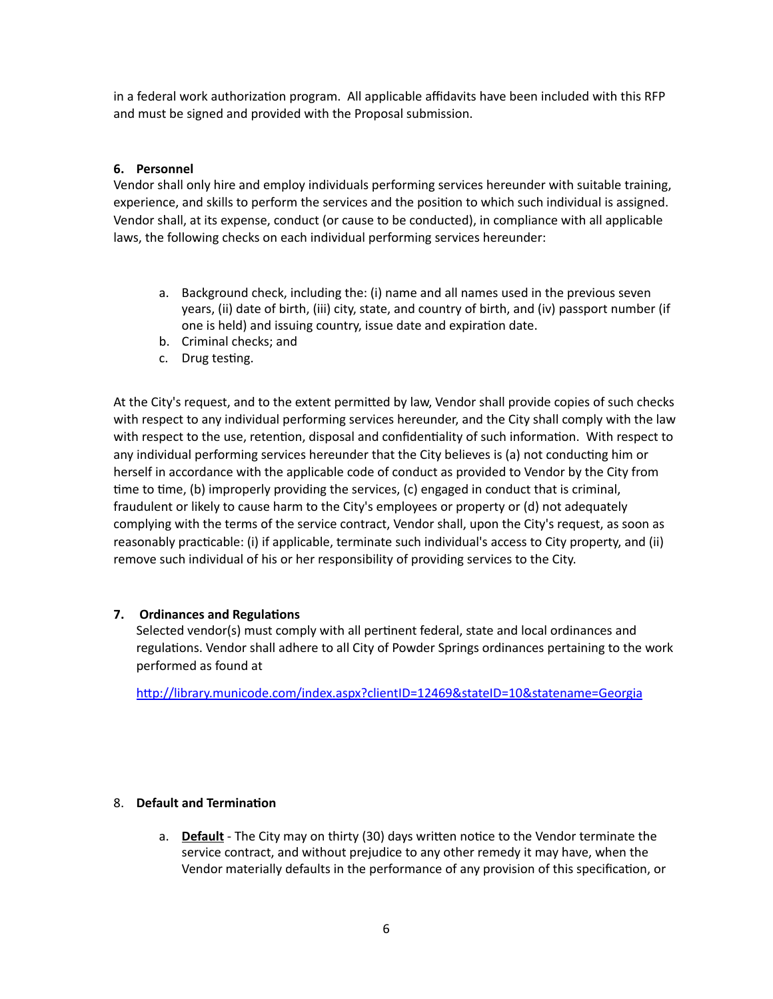in a federal work authorization program. All applicable affidavits have been included with this RFP and must be signed and provided with the Proposal submission.

## **6. Personnel**

Vendor shall only hire and employ individuals performing services hereunder with suitable training, experience, and skills to perform the services and the position to which such individual is assigned. Vendor shall, at its expense, conduct (or cause to be conducted), in compliance with all applicable laws, the following checks on each individual performing services hereunder:

- a. Background check, including the: (i) name and all names used in the previous seven years, (ii) date of birth, (iii) city, state, and country of birth, and (iv) passport number (if one is held) and issuing country, issue date and expiration date.
- b. Criminal checks; and
- c. Drug testing.

At the City's request, and to the extent permitted by law, Vendor shall provide copies of such checks with respect to any individual performing services hereunder, and the City shall comply with the law with respect to the use, retention, disposal and confidentiality of such information. With respect to any individual performing services hereunder that the City believes is (a) not conducting him or herself in accordance with the applicable code of conduct as provided to Vendor by the City from time to time, (b) improperly providing the services, (c) engaged in conduct that is criminal, fraudulent or likely to cause harm to the City's employees or property or (d) not adequately complying with the terms of the service contract, Vendor shall, upon the City's request, as soon as reasonably practicable: (i) if applicable, terminate such individual's access to City property, and (ii) remove such individual of his or her responsibility of providing services to the City.

## **7. Ordinances and Regulations**

Selected vendor(s) must comply with all pertinent federal, state and local ordinances and regulations. Vendor shall adhere to all City of Powder Springs ordinances pertaining to the work performed as found at

<http://library.municode.com/index.aspx?clientID=12469&stateID=10&statename=Georgia>

## 8. **Default and Termination**

a. **Default** - The City may on thirty (30) days written notice to the Vendor terminate the service contract, and without prejudice to any other remedy it may have, when the Vendor materially defaults in the performance of any provision of this specification, or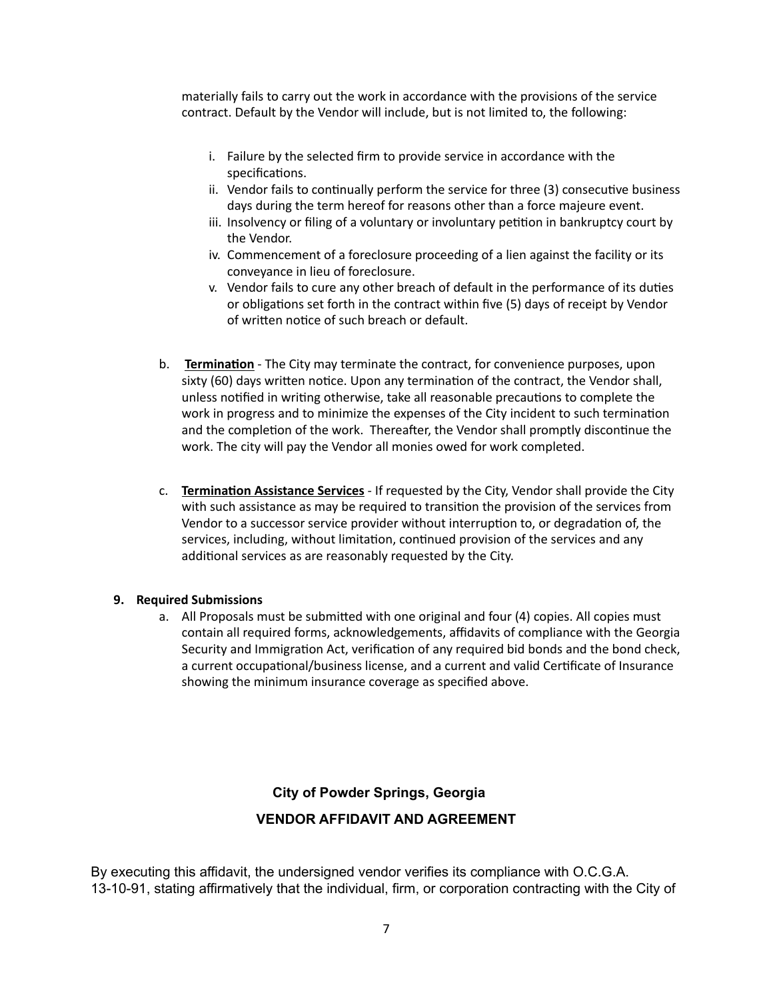materially fails to carry out the work in accordance with the provisions of the service contract. Default by the Vendor will include, but is not limited to, the following:

- i. Failure by the selected firm to provide service in accordance with the specifications.
- ii. Vendor fails to continually perform the service for three (3) consecutive business days during the term hereof for reasons other than a force majeure event.
- iii. Insolvency or filing of a voluntary or involuntary petition in bankruptcy court by the Vendor.
- iv. Commencement of a foreclosure proceeding of a lien against the facility or its conveyance in lieu of foreclosure.
- v. Vendor fails to cure any other breach of default in the performance of its duties or obligations set forth in the contract within five (5) days of receipt by Vendor of written notice of such breach or default.
- b. **Termination** The City may terminate the contract, for convenience purposes, upon sixty (60) days written notice. Upon any termination of the contract, the Vendor shall, unless notified in writing otherwise, take all reasonable precautions to complete the work in progress and to minimize the expenses of the City incident to such termination and the completion of the work. Thereafter, the Vendor shall promptly discontinue the work. The city will pay the Vendor all monies owed for work completed.
- c. **Termination Assistance Services** If requested by the City, Vendor shall provide the City with such assistance as may be required to transition the provision of the services from Vendor to a successor service provider without interruption to, or degradation of, the services, including, without limitation, continued provision of the services and any additional services as are reasonably requested by the City.

## **9. Required Submissions**

a. All Proposals must be submitted with one original and four (4) copies. All copies must contain all required forms, acknowledgements, affidavits of compliance with the Georgia Security and Immigration Act, verification of any required bid bonds and the bond check, a current occupational/business license, and a current and valid Certificate of Insurance showing the minimum insurance coverage as specified above.

## **City of Powder Springs, Georgia**

## **VENDOR AFFIDAVIT AND AGREEMENT**

By executing this affidavit, the undersigned vendor verifies its compliance with O.C.G.A. 13-10-91, stating affirmatively that the individual, firm, or corporation contracting with the City of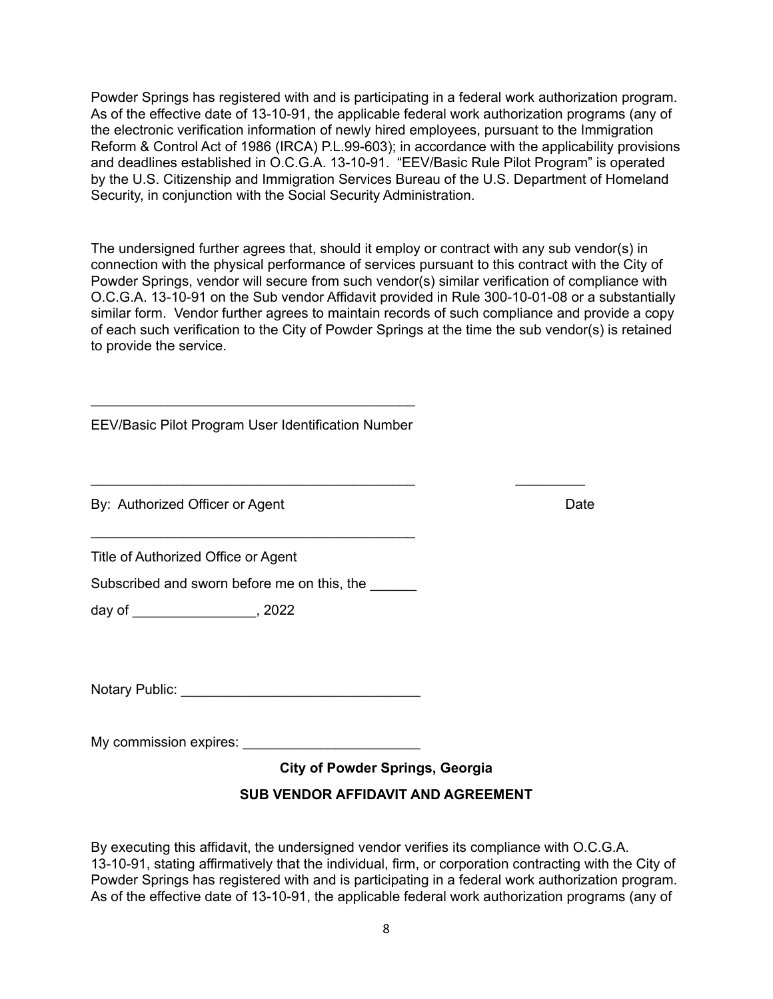Powder Springs has registered with and is participating in a federal work authorization program. As of the effective date of 13-10-91, the applicable federal work authorization programs (any of the electronic verification information of newly hired employees, pursuant to the Immigration Reform & Control Act of 1986 (IRCA) P.L.99-603); in accordance with the applicability provisions and deadlines established in O.C.G.A. 13-10-91. "EEV/Basic Rule Pilot Program" is operated by the U.S. Citizenship and Immigration Services Bureau of the U.S. Department of Homeland Security, in conjunction with the Social Security Administration.

The undersigned further agrees that, should it employ or contract with any sub vendor(s) in connection with the physical performance of services pursuant to this contract with the City of Powder Springs, vendor will secure from such vendor(s) similar verification of compliance with O.C.G.A. 13-10-91 on the Sub vendor Affidavit provided in Rule 300-10-01-08 or a substantially similar form. Vendor further agrees to maintain records of such compliance and provide a copy of each such verification to the City of Powder Springs at the time the sub vendor(s) is retained to provide the service.

\_\_\_\_\_\_\_\_\_\_\_\_\_\_\_\_\_\_\_\_\_\_\_\_\_\_\_\_\_\_\_\_\_\_\_\_\_\_\_\_\_\_ \_\_\_\_\_\_\_\_\_

EEV/Basic Pilot Program User Identification Number

\_\_\_\_\_\_\_\_\_\_\_\_\_\_\_\_\_\_\_\_\_\_\_\_\_\_\_\_\_\_\_\_\_\_\_\_\_\_\_\_\_\_

By: Authorized Officer or Agent Date Date Date Date

Title of Authorized Office or Agent

Subscribed and sworn before me on this, the

\_\_\_\_\_\_\_\_\_\_\_\_\_\_\_\_\_\_\_\_\_\_\_\_\_\_\_\_\_\_\_\_\_\_\_\_\_\_\_\_\_\_

day of \_\_\_\_\_\_\_\_\_\_\_\_\_\_\_\_, 2022

Notary Public: \_\_\_\_\_\_\_\_\_\_\_\_\_\_\_\_\_\_\_\_\_\_\_\_\_\_\_\_\_\_\_

My commission expires: **EXAMPLE** 

**City of Powder Springs, Georgia**

# **SUB VENDOR AFFIDAVIT AND AGREEMENT**

By executing this affidavit, the undersigned vendor verifies its compliance with O.C.G.A. 13-10-91, stating affirmatively that the individual, firm, or corporation contracting with the City of Powder Springs has registered with and is participating in a federal work authorization program. As of the effective date of 13-10-91, the applicable federal work authorization programs (any of